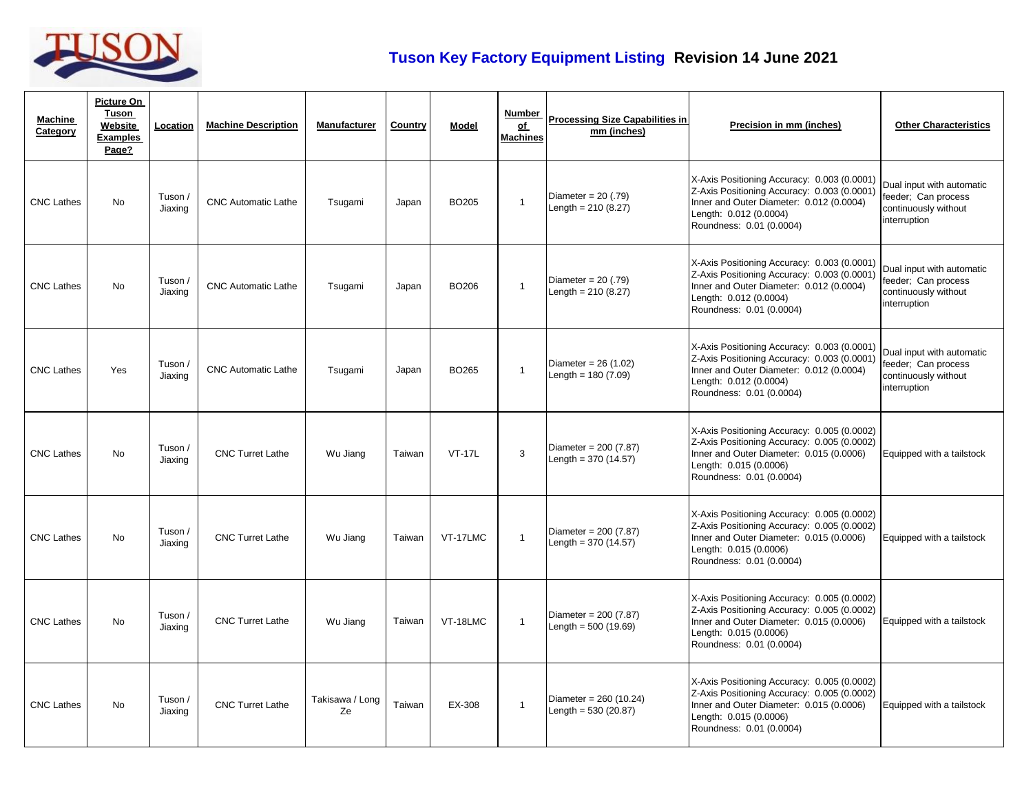

## **Tuson Key Factory Equipment Listing Revision 14 June 2021**

| <b>Machine</b><br>Category | <b>Picture On</b><br>Tuson<br>Website<br><b>Examples</b><br>Page? | Location           | <b>Machine Description</b> | Manufacturer          | Country | <b>Model</b>      | <b>Number</b><br>of<br><b>Machines</b> | <b>Processing Size Capabilities in</b><br>mm (inches) | Precision in mm (inches)                                                                                                                                                                     | <b>Other Characteristics</b>                                                             |
|----------------------------|-------------------------------------------------------------------|--------------------|----------------------------|-----------------------|---------|-------------------|----------------------------------------|-------------------------------------------------------|----------------------------------------------------------------------------------------------------------------------------------------------------------------------------------------------|------------------------------------------------------------------------------------------|
| <b>CNC Lathes</b>          | <b>No</b>                                                         | Tuson /<br>Jiaxing | <b>CNC Automatic Lathe</b> | Tsugami               | Japan   | BO <sub>205</sub> | $\mathbf{1}$                           | Diameter = $20(.79)$<br>Length = $210(8.27)$          | X-Axis Positioning Accuracy: 0.003 (0.0001)<br>Z-Axis Positioning Accuracy: 0.003 (0.0001)<br>Inner and Outer Diameter: 0.012 (0.0004)<br>Length: 0.012 (0.0004)<br>Roundness: 0.01 (0.0004) | Dual input with automatic<br>feeder; Can process<br>continuously without<br>interruption |
| <b>CNC Lathes</b>          | <b>No</b>                                                         | Tuson /<br>Jiaxing | <b>CNC Automatic Lathe</b> | Tsugami               | Japan   | <b>BO206</b>      | $\mathbf{1}$                           | Diameter = $20(.79)$<br>Length = $210(8.27)$          | X-Axis Positioning Accuracy: 0.003 (0.0001)<br>Z-Axis Positioning Accuracy: 0.003 (0.0001)<br>Inner and Outer Diameter: 0.012 (0.0004)<br>Length: 0.012 (0.0004)<br>Roundness: 0.01 (0.0004) | Dual input with automatic<br>feeder; Can process<br>continuously without<br>interruption |
| <b>CNC Lathes</b>          | Yes                                                               | Tuson /<br>Jiaxing | <b>CNC Automatic Lathe</b> | Tsugami               | Japan   | <b>BO265</b>      | $\mathbf{1}$                           | Diameter = $26(1.02)$<br>Length = $180(7.09)$         | X-Axis Positioning Accuracy: 0.003 (0.0001)<br>Z-Axis Positioning Accuracy: 0.003 (0.0001)<br>Inner and Outer Diameter: 0.012 (0.0004)<br>Length: 0.012 (0.0004)<br>Roundness: 0.01 (0.0004) | Dual input with automatic<br>feeder; Can process<br>continuously without<br>interruption |
| <b>CNC Lathes</b>          | No                                                                | Tuson /<br>Jiaxing | <b>CNC Turret Lathe</b>    | Wu Jiang              | Taiwan  | <b>VT-17L</b>     | 3                                      | Diameter = $200(7.87)$<br>Length = $370(14.57)$       | X-Axis Positioning Accuracy: 0.005 (0.0002)<br>Z-Axis Positioning Accuracy: 0.005 (0.0002)<br>Inner and Outer Diameter: 0.015 (0.0006)<br>Length: 0.015 (0.0006)<br>Roundness: 0.01 (0.0004) | Equipped with a tailstock                                                                |
| <b>CNC Lathes</b>          | <b>No</b>                                                         | Tuson /<br>Jiaxing | <b>CNC Turret Lathe</b>    | Wu Jiang              | Taiwan  | VT-17LMC          | $\mathbf{1}$                           | Diameter = $200(7.87)$<br>Length = $370(14.57)$       | X-Axis Positioning Accuracy: 0.005 (0.0002)<br>Z-Axis Positioning Accuracy: 0.005 (0.0002)<br>Inner and Outer Diameter: 0.015 (0.0006)<br>Length: 0.015 (0.0006)<br>Roundness: 0.01 (0.0004) | Equipped with a tailstock                                                                |
| <b>CNC Lathes</b>          | <b>No</b>                                                         | Tuson /<br>Jiaxing | <b>CNC Turret Lathe</b>    | Wu Jiang              | Taiwan  | VT-18LMC          | $\mathbf{1}$                           | Diameter = $200(7.87)$<br>Length = $500(19.69)$       | X-Axis Positioning Accuracy: 0.005 (0.0002)<br>Z-Axis Positioning Accuracy: 0.005 (0.0002)<br>Inner and Outer Diameter: 0.015 (0.0006)<br>Length: 0.015 (0.0006)<br>Roundness: 0.01 (0.0004) | Equipped with a tailstock                                                                |
| <b>CNC Lathes</b>          | <b>No</b>                                                         | Tuson /<br>Jiaxing | <b>CNC Turret Lathe</b>    | Takisawa / Long<br>Ze | Taiwan  | EX-308            | $\mathbf{1}$                           | Diameter = $260(10.24)$<br>Length = $530(20.87)$      | X-Axis Positioning Accuracy: 0.005 (0.0002)<br>Z-Axis Positioning Accuracy: 0.005 (0.0002)<br>Inner and Outer Diameter: 0.015 (0.0006)<br>Length: 0.015 (0.0006)<br>Roundness: 0.01 (0.0004) | Equipped with a tailstock                                                                |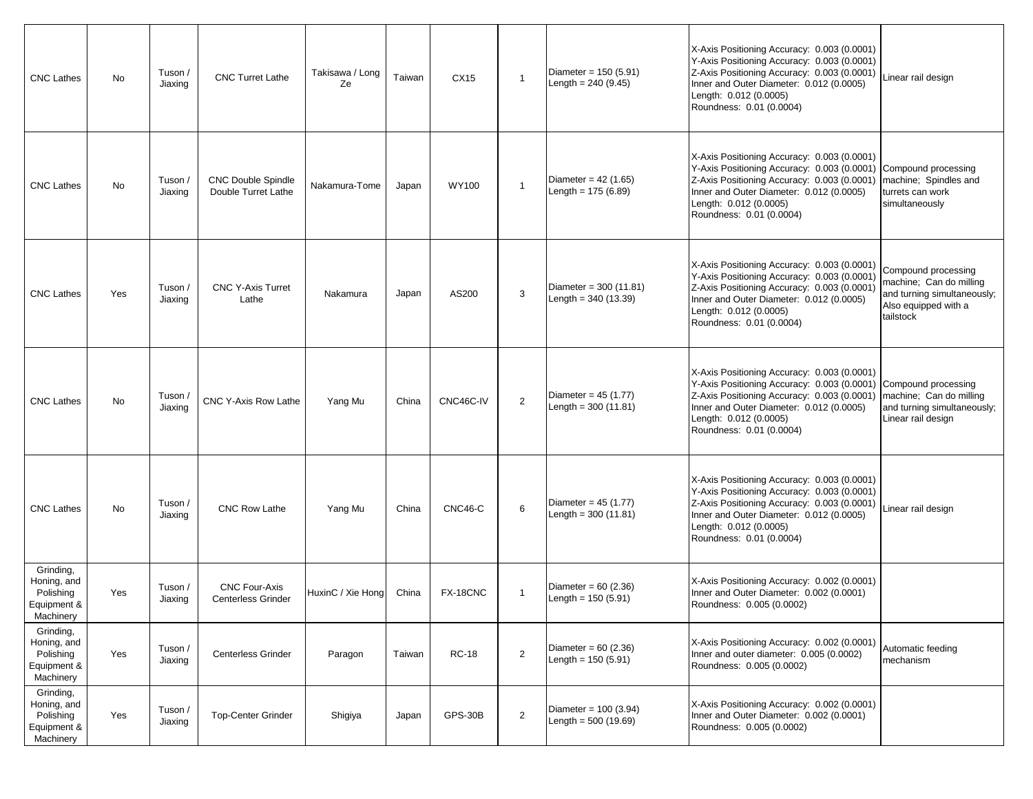| <b>CNC Lathes</b>                                                 | No        | Tuson /<br>Jiaxing | <b>CNC Turret Lathe</b>                           | Takisawa / Long<br>Ze | Taiwan | CX15         | $\mathbf{1}$   | Diameter = $150(5.91)$<br>Length = $240(9.45)$   | X-Axis Positioning Accuracy: 0.003 (0.0001)<br>Y-Axis Positioning Accuracy: 0.003 (0.0001)<br>Z-Axis Positioning Accuracy: 0.003 (0.0001)<br>Inner and Outer Diameter: 0.012 (0.0005)<br>Length: 0.012 (0.0005)<br>Roundness: 0.01 (0.0004)                     | Linear rail design                                                                                                 |
|-------------------------------------------------------------------|-----------|--------------------|---------------------------------------------------|-----------------------|--------|--------------|----------------|--------------------------------------------------|-----------------------------------------------------------------------------------------------------------------------------------------------------------------------------------------------------------------------------------------------------------------|--------------------------------------------------------------------------------------------------------------------|
| <b>CNC Lathes</b>                                                 | No        | Tuson /<br>Jiaxing | <b>CNC Double Spindle</b><br>Double Turret Lathe  | Nakamura-Tome         | Japan  | <b>WY100</b> | $\mathbf{1}$   | Diameter = $42$ (1.65)<br>Length = $175(6.89)$   | X-Axis Positioning Accuracy: 0.003 (0.0001)<br>Y-Axis Positioning Accuracy: 0.003 (0.0001) Compound processing<br>Z-Axis Positioning Accuracy: 0.003 (0.0001)<br>Inner and Outer Diameter: 0.012 (0.0005)<br>Length: 0.012 (0.0005)<br>Roundness: 0.01 (0.0004) | machine; Spindles and<br>turrets can work<br>simultaneously                                                        |
| <b>CNC Lathes</b>                                                 | Yes       | Tuson /<br>Jiaxing | <b>CNC Y-Axis Turret</b><br>Lathe                 | Nakamura              | Japan  | AS200        | 3              | Diameter = $300(11.81)$<br>Length = $340(13.39)$ | X-Axis Positioning Accuracy: 0.003 (0.0001)<br>Y-Axis Positioning Accuracy: 0.003 (0.0001)<br>Z-Axis Positioning Accuracy: 0.003 (0.0001)<br>Inner and Outer Diameter: 0.012 (0.0005)<br>Length: 0.012 (0.0005)<br>Roundness: 0.01 (0.0004)                     | Compound processing<br>machine; Can do milling<br>and turning simultaneously;<br>Also equipped with a<br>tailstock |
| <b>CNC Lathes</b>                                                 | <b>No</b> | Tuson<br>Jiaxing   | <b>CNC Y-Axis Row Lathe</b>                       | Yang Mu               | China  | CNC46C-IV    | 2              | Diameter = $45(1.77)$<br>Length = $300(11.81)$   | X-Axis Positioning Accuracy: 0.003 (0.0001)<br>Y-Axis Positioning Accuracy: 0.003 (0.0001)<br>Z-Axis Positioning Accuracy: 0.003 (0.0001)<br>Inner and Outer Diameter: 0.012 (0.0005)<br>Length: 0.012 (0.0005)<br>Roundness: 0.01 (0.0004)                     | Compound processing<br>machine; Can do milling<br>and turning simultaneously;<br>Linear rail design                |
| <b>CNC Lathes</b>                                                 | No        | Tuson /<br>Jiaxing | <b>CNC Row Lathe</b>                              | Yang Mu               | China  | CNC46-C      | 6              | Diameter = $45(1.77)$<br>Length = $300(11.81)$   | X-Axis Positioning Accuracy: 0.003 (0.0001)<br>Y-Axis Positioning Accuracy: 0.003 (0.0001)<br>Z-Axis Positioning Accuracy: 0.003 (0.0001)<br>Inner and Outer Diameter: 0.012 (0.0005)<br>Length: 0.012 (0.0005)<br>Roundness: 0.01 (0.0004)                     | Linear rail design                                                                                                 |
| Grinding,<br>Honing, and<br>Polishing<br>Equipment &<br>Machinery | Yes       | Tuson /<br>Jiaxing | <b>CNC Four-Axis</b><br><b>Centerless Grinder</b> | HuxinC / Xie Hong     | China  | FX-18CNC     | $\mathbf{1}$   | Diameter = $60(2.36)$<br>Length = $150(5.91)$    | X-Axis Positioning Accuracy: 0.002 (0.0001)<br>Inner and Outer Diameter: 0.002 (0.0001)<br>Roundness: 0.005 (0.0002)                                                                                                                                            |                                                                                                                    |
| Grinding,<br>Honing, and<br>Polishing<br>Equipment &<br>Machinery | Yes       | Tuson /<br>Jiaxing | <b>Centerless Grinder</b>                         | Paragon               | Taiwan | <b>RC-18</b> | $\overline{2}$ | Diameter = $60(2.36)$<br>Length = $150(5.91)$    | X-Axis Positioning Accuracy: 0.002 (0.0001)<br>Inner and outer diameter: 0.005 (0.0002)<br>Roundness: 0.005 (0.0002)                                                                                                                                            | Automatic feeding<br>mechanism                                                                                     |
| Grinding,<br>Honing, and<br>Polishing<br>Equipment &<br>Machinery | Yes       | Tuson /<br>Jiaxing | <b>Top-Center Grinder</b>                         | Shigiya               | Japan  | GPS-30B      | $\overline{2}$ | Diameter = $100(3.94)$<br>Length = $500(19.69)$  | X-Axis Positioning Accuracy: 0.002 (0.0001)<br>Inner and Outer Diameter: 0.002 (0.0001)<br>Roundness: 0.005 (0.0002)                                                                                                                                            |                                                                                                                    |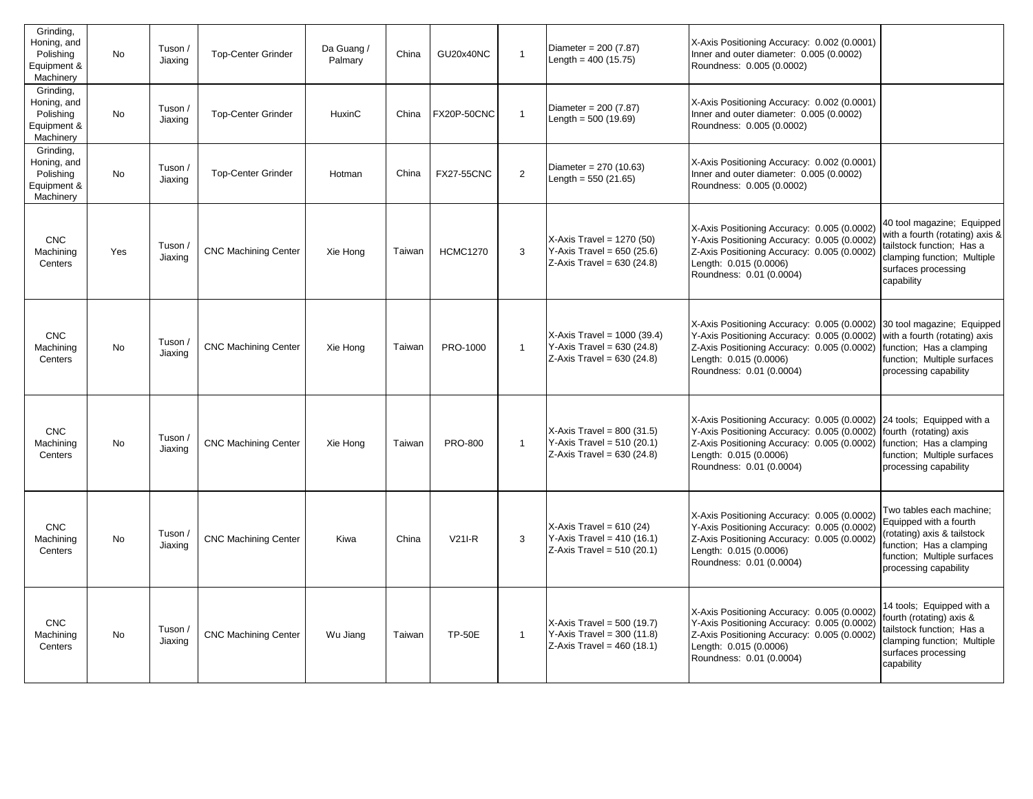| Grinding,<br>Honing, and<br>Polishing<br>Equipment &<br>Machinery | <b>No</b> | Tuson /<br>Jiaxing | <b>Top-Center Grinder</b>   | Da Guang /<br>Palmary | China  | GU20x40NC          | $\overline{1}$ | Diameter = $200(7.87)$<br>Length = $400(15.75)$                                              | X-Axis Positioning Accuracy: 0.002 (0.0001)<br>Inner and outer diameter: 0.005 (0.0002)<br>Roundness: 0.005 (0.0002)                                                                                                                               |                                                                                                                                                                       |
|-------------------------------------------------------------------|-----------|--------------------|-----------------------------|-----------------------|--------|--------------------|----------------|----------------------------------------------------------------------------------------------|----------------------------------------------------------------------------------------------------------------------------------------------------------------------------------------------------------------------------------------------------|-----------------------------------------------------------------------------------------------------------------------------------------------------------------------|
| Grinding,<br>Honing, and<br>Polishing<br>Equipment &<br>Machinery | <b>No</b> | Tuson /<br>Jiaxing | <b>Top-Center Grinder</b>   | HuxinC                | China  | <b>FX20P-50CNC</b> | $\overline{1}$ | Diameter = $200(7.87)$<br>Length = $500(19.69)$                                              | X-Axis Positioning Accuracy: 0.002 (0.0001)<br>Inner and outer diameter: 0.005 (0.0002)<br>Roundness: 0.005 (0.0002)                                                                                                                               |                                                                                                                                                                       |
| Grinding,<br>Honing, and<br>Polishing<br>Equipment &<br>Machinery | <b>No</b> | Tuson /<br>Jiaxing | <b>Top-Center Grinder</b>   | Hotman                | China  | <b>FX27-55CNC</b>  | 2              | Diameter = $270(10.63)$<br>Length = $550(21.65)$                                             | X-Axis Positioning Accuracy: 0.002 (0.0001)<br>Inner and outer diameter: 0.005 (0.0002)<br>Roundness: 0.005 (0.0002)                                                                                                                               |                                                                                                                                                                       |
| <b>CNC</b><br>Machining<br>Centers                                | Yes       | Tuson /<br>Jiaxing | <b>CNC Machining Center</b> | Xie Hong              | Taiwan | <b>HCMC1270</b>    | 3              | $X-Axis$ Travel = 1270 (50)<br>Y-Axis Travel = $650(25.6)$<br>$Z-Axis$ Travel = 630 (24.8)   | X-Axis Positioning Accuracy: 0.005 (0.0002)<br>Y-Axis Positioning Accuracy: 0.005 (0.0002)<br>Z-Axis Positioning Accuracy: 0.005 (0.0002)<br>Length: 0.015 (0.0006)<br>Roundness: 0.01 (0.0004)                                                    | 40 tool magazine; Equipped<br>with a fourth (rotating) axis &<br>tailstock function; Has a<br>clamping function; Multiple<br>surfaces processing<br>capability        |
| <b>CNC</b><br>Machining<br>Centers                                | No        | Tuson /<br>Jiaxing | <b>CNC Machining Center</b> | Xie Hong              | Taiwan | PRO-1000           | $\mathbf{1}$   | $X-Axis$ Travel = 1000 (39.4)<br>$Y-Axis Travel = 630 (24.8)$<br>Z-Axis Travel = $630(24.8)$ | X-Axis Positioning Accuracy: 0.005 (0.0002) 30 tool magazine; Equipped<br>Y-Axis Positioning Accuracy: 0.005 (0.0002)<br>Z-Axis Positioning Accuracy: 0.005 (0.0002)<br>Length: 0.015 (0.0006)<br>Roundness: 0.01 (0.0004)                         | with a fourth (rotating) axis<br>function; Has a clamping<br>function; Multiple surfaces<br>processing capability                                                     |
| <b>CNC</b><br>Machining<br>Centers                                | <b>No</b> | Tuson /<br>Jiaxing | <b>CNC Machining Center</b> | Xie Hong              | Taiwan | <b>PRO-800</b>     | $\mathbf{1}$   | $X-Axis$ Travel = 800 (31.5)<br>Y-Axis Travel = $510(20.1)$<br>$Z-Axis$ Travel = 630 (24.8)  | X-Axis Positioning Accuracy: 0.005 (0.0002) 24 tools; Equipped with a<br>Y-Axis Positioning Accuracy: 0.005 (0.0002)<br>Z-Axis Positioning Accuracy: 0.005 (0.0002) function; Has a clamping<br>Length: 0.015 (0.0006)<br>Roundness: 0.01 (0.0004) | fourth (rotating) axis<br>function; Multiple surfaces<br>processing capability                                                                                        |
| <b>CNC</b><br>Machining<br>Centers                                | <b>No</b> | Tuson /<br>Jiaxing | <b>CNC Machining Center</b> | Kiwa                  | China  | $V21I-R$           | 3              | $X-Axis$ Travel = 610 (24)<br>Y-Axis Travel = $410(16.1)$<br>$Z-Axis$ Travel = 510 (20.1)    | X-Axis Positioning Accuracy: 0.005 (0.0002)<br>Y-Axis Positioning Accuracy: 0.005 (0.0002)<br>Z-Axis Positioning Accuracy: 0.005 (0.0002)<br>Length: 0.015 (0.0006)<br>Roundness: 0.01 (0.0004)                                                    | Two tables each machine;<br>Equipped with a fourth<br>(rotating) axis & tailstock<br>function; Has a clamping<br>function; Multiple surfaces<br>processing capability |
| <b>CNC</b><br>Machining<br>Centers                                | <b>No</b> | Tuson /<br>Jiaxing | <b>CNC Machining Center</b> | Wu Jiang              | Taiwan | <b>TP-50E</b>      | $\mathbf{1}$   | $X-Axis$ Travel = 500 (19.7)<br>Y-Axis Travel = $300(11.8)$<br>$Z-Axis$ Travel = 460 (18.1)  | X-Axis Positioning Accuracy: 0.005 (0.0002)<br>Y-Axis Positioning Accuracy: 0.005 (0.0002)<br>Z-Axis Positioning Accuracy: 0.005 (0.0002)<br>Length: 0.015 (0.0006)<br>Roundness: 0.01 (0.0004)                                                    | 14 tools; Equipped with a<br>fourth (rotating) axis &<br>tailstock function; Has a<br>clamping function; Multiple<br>surfaces processing<br>capability                |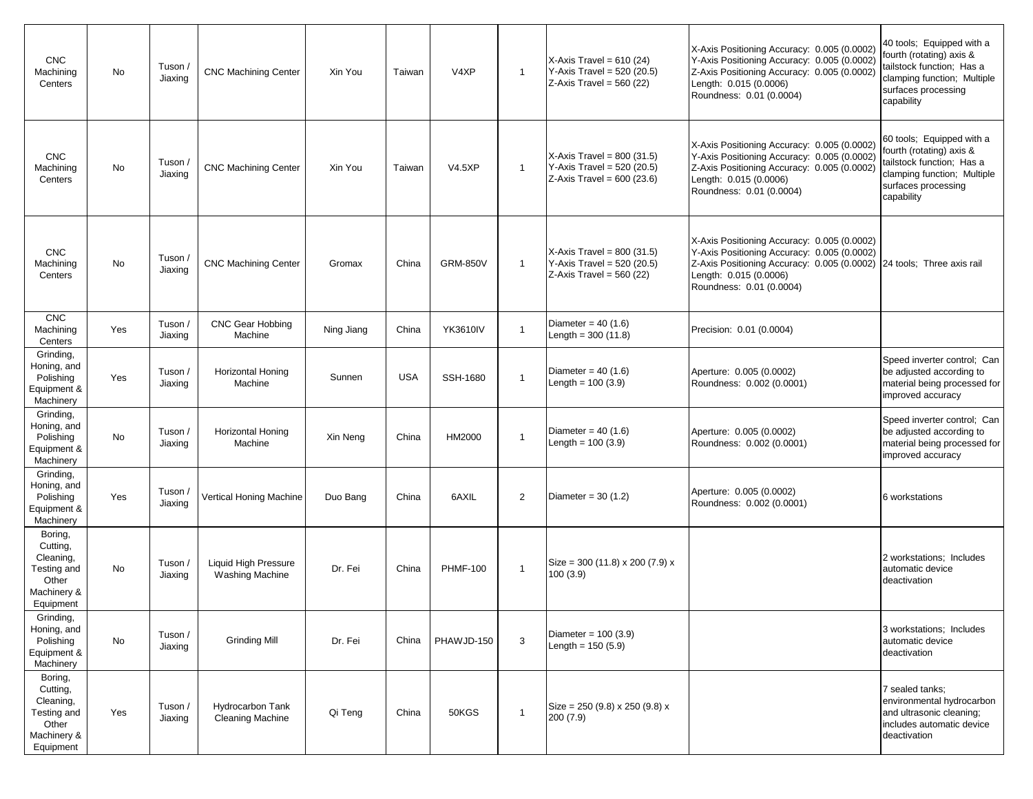| <b>CNC</b><br>Machining<br>Centers                                                   | No  | Tuson /<br>Jiaxing | <b>CNC Machining Center</b>                           | Xin You    | Taiwan     | V <sub>4</sub> X <sub>P</sub> | $\mathbf{1}$ | X-Axis Travel = $610(24)$<br>Y-Axis Travel = $520(20.5)$<br>$Z-Axis$ Travel = 560 (22)     | X-Axis Positioning Accuracy: 0.005 (0.0002)<br>Y-Axis Positioning Accuracy: 0.005 (0.0002)<br>Z-Axis Positioning Accuracy: 0.005 (0.0002)<br>Length: 0.015 (0.0006)<br>Roundness: 0.01 (0.0004) | 40 tools; Equipped with a<br>fourth (rotating) axis &<br>tailstock function; Has a<br>clamping function; Multiple<br>surfaces processing<br>capability |
|--------------------------------------------------------------------------------------|-----|--------------------|-------------------------------------------------------|------------|------------|-------------------------------|--------------|--------------------------------------------------------------------------------------------|-------------------------------------------------------------------------------------------------------------------------------------------------------------------------------------------------|--------------------------------------------------------------------------------------------------------------------------------------------------------|
| <b>CNC</b><br>Machining<br>Centers                                                   | No  | Tuson /<br>Jiaxing | <b>CNC Machining Center</b>                           | Xin You    | Taiwan     | <b>V4.5XP</b>                 | $\mathbf{1}$ | X-Axis Travel = $800(31.5)$<br>Y-Axis Travel = $520(20.5)$<br>$Z-Axis$ Travel = 600 (23.6) | X-Axis Positioning Accuracy: 0.005 (0.0002)<br>Y-Axis Positioning Accuracy: 0.005 (0.0002)<br>Z-Axis Positioning Accuracy: 0.005 (0.0002)<br>Length: 0.015 (0.0006)<br>Roundness: 0.01 (0.0004) | 60 tools; Equipped with a<br>fourth (rotating) axis &<br>tailstock function; Has a<br>clamping function; Multiple<br>surfaces processing<br>capability |
| <b>CNC</b><br>Machining<br>Centers                                                   | No  | Tuson /<br>Jiaxing | <b>CNC Machining Center</b>                           | Gromax     | China      | <b>GRM-850V</b>               | $\mathbf{1}$ | $X-Axis$ Travel = 800 (31.5)<br>Y-Axis Travel = $520(20.5)$<br>$Z$ -Axis Travel = 560 (22) | X-Axis Positioning Accuracy: 0.005 (0.0002)<br>Y-Axis Positioning Accuracy: 0.005 (0.0002)<br>Z-Axis Positioning Accuracy: 0.005 (0.0002)<br>Length: 0.015 (0.0006)<br>Roundness: 0.01 (0.0004) | 24 tools; Three axis rail                                                                                                                              |
| <b>CNC</b><br>Machining<br>Centers                                                   | Yes | Tuson /<br>Jiaxing | <b>CNC Gear Hobbing</b><br>Machine                    | Ning Jiang | China      | <b>YK3610IV</b>               | $\mathbf{1}$ | Diameter = $40(1.6)$<br>Length = $300(11.8)$                                               | Precision: 0.01 (0.0004)                                                                                                                                                                        |                                                                                                                                                        |
| Grinding,<br>Honing, and<br>Polishing<br>Equipment &<br>Machinery                    | Yes | Tuson /<br>Jiaxing | <b>Horizontal Honing</b><br>Machine                   | Sunnen     | <b>USA</b> | SSH-1680                      | $\mathbf{1}$ | Diameter = $40(1.6)$<br>Length = $100(3.9)$                                                | Aperture: 0.005 (0.0002)<br>Roundness: 0.002 (0.0001)                                                                                                                                           | Speed inverter control; Can<br>be adjusted according to<br>material being processed for<br>improved accuracy                                           |
| Grinding,<br>Honing, and<br>Polishing<br>Equipment &<br>Machinery                    | No  | Tuson /<br>Jiaxing | Horizontal Honing<br>Machine                          | Xin Neng   | China      | HM2000                        | $\mathbf{1}$ | Diameter = $40(1.6)$<br>Length = $100(3.9)$                                                | Aperture: 0.005 (0.0002)<br>Roundness: 0.002 (0.0001)                                                                                                                                           | Speed inverter control; Can<br>be adjusted according to<br>material being processed for<br>improved accuracy                                           |
| Grinding,<br>Honing, and<br>Polishing<br>Equipment &<br>Machinery                    | Yes | Tuson /<br>Jiaxing | Vertical Honing Machine                               | Duo Bang   | China      | 6AXIL                         | 2            | Diameter = $30(1.2)$                                                                       | Aperture: 0.005 (0.0002)<br>Roundness: 0.002 (0.0001)                                                                                                                                           | 6 workstations                                                                                                                                         |
| Boring,<br>Cutting,<br>Cleaning,<br>Testing and<br>Other<br>Machinery &<br>Equipment | No  | Tuson /<br>Jiaxing | <b>Liquid High Pressure</b><br><b>Washing Machine</b> | Dr. Fei    | China      | <b>PHMF-100</b>               | $\mathbf{1}$ | Size = 300 (11.8) x 200 (7.9) x<br>100(3.9)                                                |                                                                                                                                                                                                 | 2 workstations; Includes<br>automatic device<br>deactivation                                                                                           |
| Grinding,<br>Honing, and<br>Polishing<br>Equipment &<br>Machinery                    | No  | Tuson /<br>Jiaxing | <b>Grinding Mill</b>                                  | Dr. Fei    | China      | PHAWJD-150                    | 3            | Diameter = $100(3.9)$<br>Length = $150(5.9)$                                               |                                                                                                                                                                                                 | 3 workstations; Includes<br>automatic device<br>deactivation                                                                                           |
| Boring,<br>Cutting,<br>Cleaning,<br>Testing and<br>Other<br>Machinery &<br>Equipment | Yes | Tuson /<br>Jiaxing | Hydrocarbon Tank<br>Cleaning Machine                  | Qi Teng    | China      | 50KGS                         | $\mathbf{1}$ | Size = $250(9.8) \times 250(9.8) \times$<br>200 (7.9)                                      |                                                                                                                                                                                                 | 7 sealed tanks;<br>environmental hydrocarbon<br>and ultrasonic cleaning;<br>includes automatic device<br>deactivation                                  |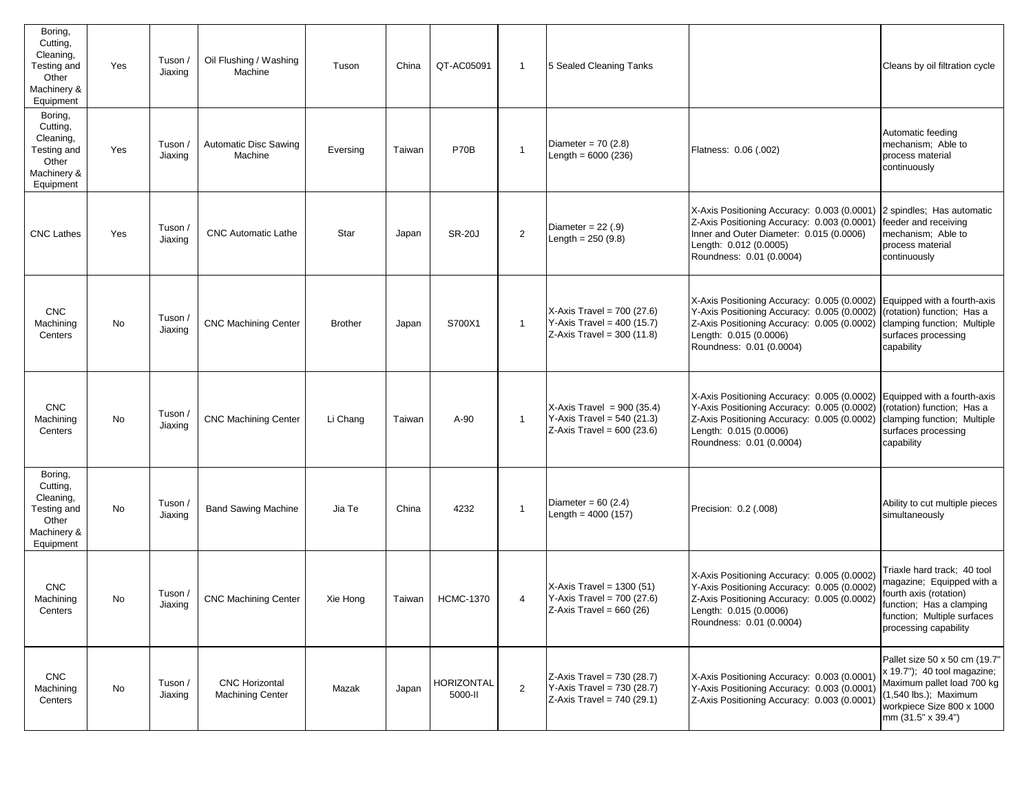| Boring,<br>Cutting,<br>Cleaning,<br>Testing and<br>Other<br>Machinery &<br>Equipment | Yes | Tuson /<br>Jiaxing | Oil Flushing / Washing<br>Machine                | Tuson          | China  | QT-AC05091                   | -1           | 5 Sealed Cleaning Tanks                                                                    |                                                                                                                                                                                                 | Cleans by oil filtration cycle                                                                                                                                         |
|--------------------------------------------------------------------------------------|-----|--------------------|--------------------------------------------------|----------------|--------|------------------------------|--------------|--------------------------------------------------------------------------------------------|-------------------------------------------------------------------------------------------------------------------------------------------------------------------------------------------------|------------------------------------------------------------------------------------------------------------------------------------------------------------------------|
| Boring,<br>Cutting,<br>Cleaning,<br>Testing and<br>Other<br>Machinery &<br>Equipment | Yes | Tuson /<br>Jiaxing | <b>Automatic Disc Sawing</b><br>Machine          | Eversing       | Taiwan | <b>P70B</b>                  | $\mathbf{1}$ | Diameter = $70(2.8)$<br>Length = $6000(236)$                                               | Flatness: 0.06 (.002)                                                                                                                                                                           | Automatic feeding<br>mechanism; Able to<br>process material<br>continuously                                                                                            |
| <b>CNC Lathes</b>                                                                    | Yes | Tuson /<br>Jiaxing | <b>CNC Automatic Lathe</b>                       | Star           | Japan  | <b>SR-20J</b>                | 2            | Diameter = $22(.9)$<br>Length = $250(9.8)$                                                 | X-Axis Positioning Accuracy: 0.003 (0.0001)<br>Z-Axis Positioning Accuracy: 0.003 (0.0001)<br>Inner and Outer Diameter: 0.015 (0.0006)<br>Length: 0.012 (0.0005)<br>Roundness: 0.01 (0.0004)    | 2 spindles; Has automatic<br>feeder and receiving<br>mechanism; Able to<br>process material<br>continuously                                                            |
| <b>CNC</b><br>Machining<br>Centers                                                   | No  | Tuson /<br>Jiaxing | <b>CNC Machining Center</b>                      | <b>Brother</b> | Japan  | S700X1                       | $\mathbf{1}$ | X-Axis Travel = $700(27.6)$<br>Y-Axis Travel = $400(15.7)$<br>$Z-Axis$ Travel = 300 (11.8) | X-Axis Positioning Accuracy: 0.005 (0.0002)<br>Y-Axis Positioning Accuracy: 0.005 (0.0002)<br>Z-Axis Positioning Accuracy: 0.005 (0.0002)<br>Length: 0.015 (0.0006)<br>Roundness: 0.01 (0.0004) | Equipped with a fourth-axis<br>(rotation) function; Has a<br>clamping function; Multiple<br>surfaces processing<br>capability                                          |
| <b>CNC</b><br>Machining<br>Centers                                                   | No  | Tuson /<br>Jiaxing | <b>CNC Machining Center</b>                      | Li Chang       | Taiwan | $A-90$                       | $\mathbf{1}$ | X-Axis Travel = $900(35.4)$<br>Y-Axis Travel = $540(21.3)$<br>$Z-Axis$ Travel = 600 (23.6) | X-Axis Positioning Accuracy: 0.005 (0.0002)<br>Y-Axis Positioning Accuracy: 0.005 (0.0002)<br>Z-Axis Positioning Accuracy: 0.005 (0.0002)<br>Length: 0.015 (0.0006)<br>Roundness: 0.01 (0.0004) | Equipped with a fourth-axis<br>(rotation) function; Has a<br>clamping function; Multiple<br>surfaces processing<br>capability                                          |
| Boring,<br>Cutting,<br>Cleaning,<br>Testing and<br>Other<br>Machinery &<br>Equipment | No  | Tuson /<br>Jiaxing | <b>Band Sawing Machine</b>                       | Jia Te         | China  | 4232                         | $\mathbf{1}$ | Diameter = $60(2.4)$<br>Length = $4000(157)$                                               | Precision: 0.2 (.008)                                                                                                                                                                           | Ability to cut multiple pieces<br>simultaneously                                                                                                                       |
| <b>CNC</b><br>Machining<br>Centers                                                   | No  | Tuson /<br>Jiaxing | <b>CNC Machining Center</b>                      | Xie Hong       | Taiwan | <b>HCMC-1370</b>             | 4            | $X-Axis$ Travel = 1300 (51)<br>Y-Axis Travel = $700(27.6)$<br>$Z-Axis$ Travel = 660 (26)   | X-Axis Positioning Accuracy: 0.005 (0.0002)<br>Y-Axis Positioning Accuracy: 0.005 (0.0002)<br>Z-Axis Positioning Accuracy: 0.005 (0.0002)<br>Length: 0.015 (0.0006)<br>Roundness: 0.01 (0.0004) | Triaxle hard track; 40 tool<br>magazine; Equipped with a<br>fourth axis (rotation)<br>function; Has a clamping<br>function; Multiple surfaces<br>processing capability |
| <b>CNC</b><br>Machining<br>Centers                                                   | No  | Tuson /<br>Jiaxing | <b>CNC Horizontal</b><br><b>Machining Center</b> | Mazak          | Japan  | <b>HORIZONTAL</b><br>5000-II | 2            | $Z-Axis$ Travel = 730 (28.7)<br>Y-Axis Travel = 730 (28.7)<br>Z-Axis Travel = $740(29.1)$  | X-Axis Positioning Accuracy: 0.003 (0.0001)<br>Y-Axis Positioning Accuracy: 0.003 (0.0001)<br>Z-Axis Positioning Accuracy: 0.003 (0.0001)                                                       | Pallet size 50 x 50 cm (19.7"<br>x 19.7"); 40 tool magazine;<br>Maximum pallet load 700 kg<br>(1,540 lbs.); Maximum<br>workpiece Size 800 x 1000<br>mm (31.5" x 39.4") |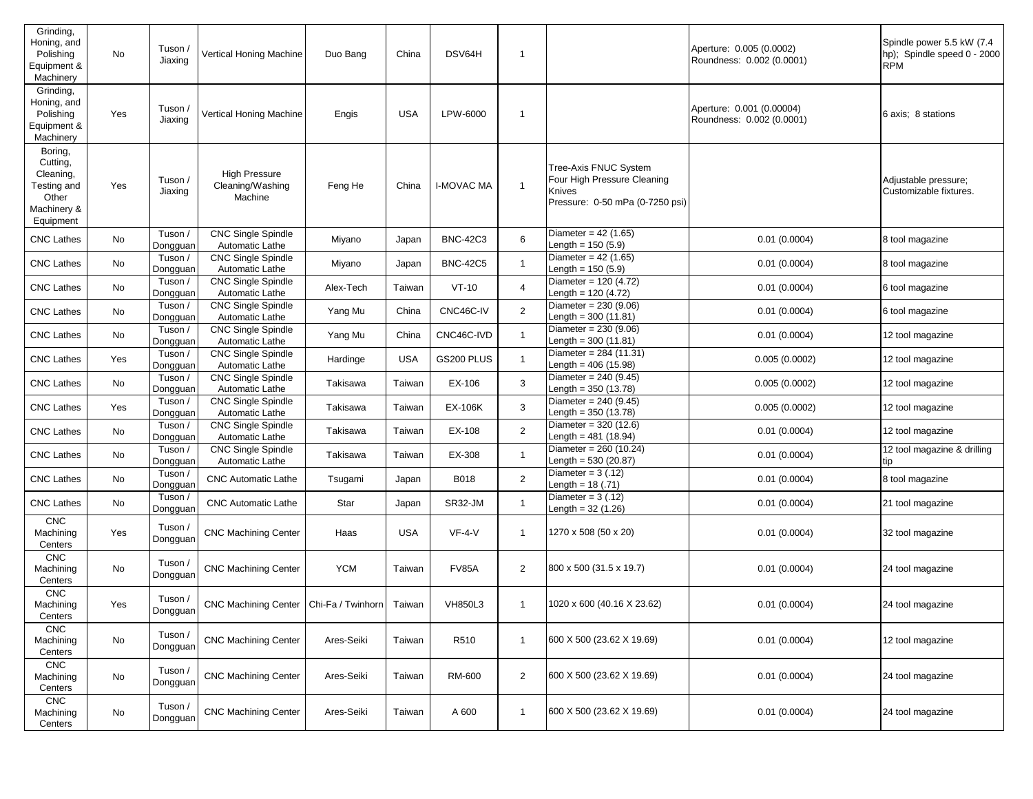| Grinding,<br>Honing, and<br>Polishing<br>Equipment &<br>Machinery                    | No  | Tuson<br>Jiaxing    | Vertical Honing Machine                             | Duo Bang   | China      | DSV64H            | -1             |                                                                                                   | Aperture: 0.005 (0.0002)<br>Roundness: 0.002 (0.0001)  | Spindle power 5.5 kW (7.4<br>hp); Spindle speed 0 - 2000<br>RPM |
|--------------------------------------------------------------------------------------|-----|---------------------|-----------------------------------------------------|------------|------------|-------------------|----------------|---------------------------------------------------------------------------------------------------|--------------------------------------------------------|-----------------------------------------------------------------|
| Grinding,<br>Honing, and<br>Polishing<br>Equipment &<br>Machinery                    | Yes | Tuson<br>Jiaxing    | Vertical Honing Machine                             | Engis      | <b>USA</b> | LPW-6000          | -1             |                                                                                                   | Aperture: 0.001 (0.00004)<br>Roundness: 0.002 (0.0001) | 6 axis; 8 stations                                              |
| Boring,<br>Cutting,<br>Cleaning,<br>Testing and<br>Other<br>Machinery &<br>Equipment | Yes | Tuson /<br>Jiaxing  | <b>High Pressure</b><br>Cleaning/Washing<br>Machine | Feng He    | China      | <b>I-MOVAC MA</b> | 1              | Tree-Axis FNUC System<br>Four High Pressure Cleaning<br>Knives<br>Pressure: 0-50 mPa (0-7250 psi) |                                                        | Adjustable pressure;<br>Customizable fixtures.                  |
| <b>CNC Lathes</b>                                                                    | No  | Tuson /<br>Dongguan | <b>CNC Single Spindle</b><br>Automatic Lathe        | Miyano     | Japan      | <b>BNC-42C3</b>   | 6              | Diameter = $42(1.65)$<br>Length = $150(5.9)$                                                      | 0.01(0.0004)                                           | 8 tool magazine                                                 |
| <b>CNC Lathes</b>                                                                    | No  | Tuson /<br>Dongguan | <b>CNC Single Spindle</b><br>Automatic Lathe        | Miyano     | Japan      | <b>BNC-42C5</b>   | 1              | Diameter = $42(1.65)$<br>Length = $150(5.9)$                                                      | 0.01(0.0004)                                           | 8 tool magazine                                                 |
| <b>CNC Lathes</b>                                                                    | No  | Tuson /<br>Dongguan | <b>CNC Single Spindle</b><br>Automatic Lathe        | Alex-Tech  | Taiwan     | $VT-10$           | 4              | Diameter = $120(4.72)$<br>Length = $120(4.72)$                                                    | 0.01(0.0004)                                           | 6 tool magazine                                                 |
| <b>CNC Lathes</b>                                                                    | No  | Tuson /<br>Dongguan | <b>CNC Single Spindle</b><br>Automatic Lathe        | Yang Mu    | China      | CNC46C-IV         | $\overline{2}$ | Diameter = $230(9.06)$<br>Length = $300(11.81)$                                                   | 0.01(0.0004)                                           | 6 tool magazine                                                 |
| <b>CNC Lathes</b>                                                                    | No  | Tuson /<br>Dongguan | <b>CNC Single Spindle</b><br>Automatic Lathe        | Yang Mu    | China      | CNC46C-IVD        | $\mathbf{1}$   | Diameter = $230(9.06)$<br>Length = $300(11.81)$                                                   | 0.01(0.0004)                                           | 12 tool magazine                                                |
| <b>CNC Lathes</b>                                                                    | Yes | Tuson /<br>Dongguan | <b>CNC Single Spindle</b><br>Automatic Lathe        | Hardinge   | <b>USA</b> | GS200 PLUS        | $\mathbf{1}$   | Diameter = $284$ (11.31)<br>Length = $406(15.98)$                                                 | 0.005(0.0002)                                          | 12 tool magazine                                                |
| <b>CNC Lathes</b>                                                                    | No  | Tuson /<br>Dongguan | CNC Single Spindle<br>Automatic Lathe               | Takisawa   | Taiwan     | EX-106            | 3              | Diameter = $240(9.45)$<br>Length = $350(13.78)$                                                   | 0.005(0.0002)                                          | 12 tool magazine                                                |
| <b>CNC Lathes</b>                                                                    | Yes | Tuson /<br>Dongguan | <b>CNC Single Spindle</b><br>Automatic Lathe        | Takisawa   | Taiwan     | <b>EX-106K</b>    | 3              | Diameter = $240(9.45)$<br>Length = $350(13.78)$                                                   | 0.005(0.0002)                                          | 12 tool magazine                                                |
| <b>CNC Lathes</b>                                                                    | No  | Tuson /<br>Dongguan | <b>CNC Single Spindle</b><br>Automatic Lathe        | Takisawa   | Taiwan     | EX-108            | $\mathbf{2}$   | Diameter = $320(12.6)$<br>Length = $481$ (18.94)                                                  | 0.01(0.0004)                                           | 12 tool magazine                                                |
| <b>CNC Lathes</b>                                                                    | No  | Tuson /<br>Dongguan | <b>CNC Single Spindle</b><br>Automatic Lathe        | Takisawa   | Taiwan     | EX-308            | 1              | Diameter = $260(10.24)$<br>Length = $530(20.87)$                                                  | 0.01(0.0004)                                           | 12 tool magazine & drilling                                     |
| <b>CNC Lathes</b>                                                                    | No  | Tuson /<br>Dongguan | <b>CNC Automatic Lathe</b>                          | Tsugami    | Japan      | B018              | $\overline{2}$ | Diameter = $3(.12)$<br>Length = $18(.71)$                                                         | 0.01(0.0004)                                           | 8 tool magazine                                                 |
| <b>CNC Lathes</b>                                                                    | No  | Tuson /<br>Dongguan | <b>CNC Automatic Lathe</b>                          | Star       | Japan      | SR32-JM           | 1              | Diameter = $3(.12)$<br>Length = $32(1.26)$                                                        | 0.01(0.0004)                                           | 21 tool magazine                                                |
| <b>CNC</b><br>Machining<br>Centers                                                   | Yes | Tuson /<br>Dongguan | <b>CNC Machining Center</b>                         | Haas       | <b>USA</b> | $VF-4-V$          | 1              | 1270 x 508 (50 x 20)                                                                              | 0.01(0.0004)                                           | 32 tool magazine                                                |
| <b>CNC</b><br>Machining<br>Centers                                                   | No  | Tuson /<br>Dongguan | <b>CNC Machining Center</b>                         | <b>YCM</b> | Taiwan     | <b>FV85A</b>      | $\overline{c}$ | 800 x 500 (31.5 x 19.7)                                                                           | 0.01(0.0004)                                           | 24 tool magazine                                                |
| <b>CNC</b><br>Machining<br>Centers                                                   | Yes | Tuson /<br>Dongguan | CNC Machining Center   Chi-Fa / Twinhorn   Taiwan   |            |            | <b>VH850L3</b>    | -1             | 1020 x 600 (40.16 X 23.62)                                                                        | 0.01(0.0004)                                           | 24 tool magazine                                                |
| <b>CNC</b><br>Machining<br>Centers                                                   | No  | Tuson /<br>Dongguan | <b>CNC Machining Center</b>                         | Ares-Seiki | Taiwan     | R510              | 1              | 600 X 500 (23.62 X 19.69)                                                                         | 0.01(0.0004)                                           | 12 tool magazine                                                |
| <b>CNC</b><br>Machining<br>Centers                                                   | No  | Tuson /<br>Dongguan | <b>CNC Machining Center</b>                         | Ares-Seiki | Taiwan     | RM-600            | 2              | 600 X 500 (23.62 X 19.69)                                                                         | 0.01(0.0004)                                           | 24 tool magazine                                                |
| <b>CNC</b><br>Machining<br>Centers                                                   | No  | Tuson /<br>Dongguan | <b>CNC Machining Center</b>                         | Ares-Seiki | Taiwan     | A 600             | -1             | 600 X 500 (23.62 X 19.69)                                                                         | 0.01(0.0004)                                           | 24 tool magazine                                                |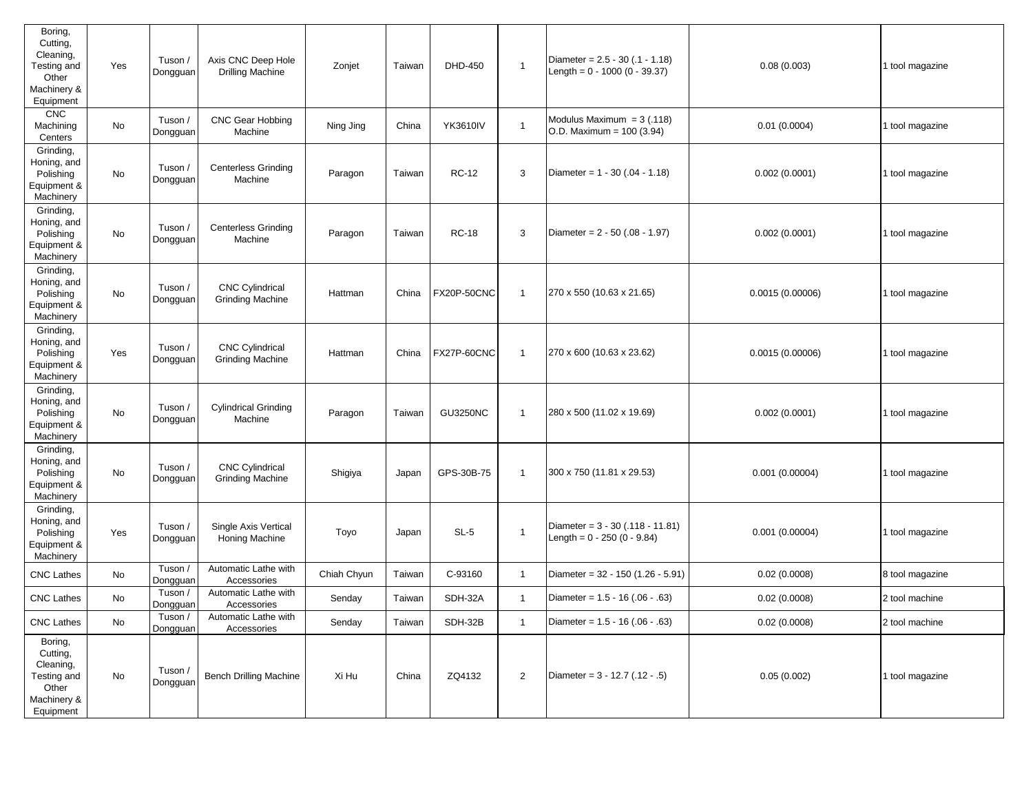| Boring,<br>Cutting,<br>Cleaning,<br>Testing and<br>Other<br>Machinery &<br>Equipment | Yes | Tuson /<br>Dongguan | Axis CNC Deep Hole<br><b>Drilling Machine</b>     | Zonjet      | Taiwan | DHD-450         | $\mathbf{1}$   | Diameter = $2.5 - 30$ (.1 - 1.18)<br>Length = $0 - 1000 (0 - 39.37)$ | 0.08(0.003)     | 1 tool magazine |
|--------------------------------------------------------------------------------------|-----|---------------------|---------------------------------------------------|-------------|--------|-----------------|----------------|----------------------------------------------------------------------|-----------------|-----------------|
| <b>CNC</b><br>Machining<br>Centers                                                   | No  | Tuson /<br>Dongguan | <b>CNC Gear Hobbing</b><br>Machine                | Ning Jing   | China  | <b>YK3610IV</b> | $\mathbf{1}$   | Modulus Maximum = $3(.118)$<br>O.D. Maximum = $100(3.94)$            | 0.01(0.0004)    | 1 tool magazine |
| Grinding,<br>Honing, and<br>Polishing<br>Equipment &<br>Machinery                    | No  | Tuson /<br>Dongguan | <b>Centerless Grinding</b><br>Machine             | Paragon     | Taiwan | <b>RC-12</b>    | 3              | Diameter = $1 - 30(.04 - 1.18)$                                      | 0.002(0.0001)   | 1 tool magazine |
| Grinding,<br>Honing, and<br>Polishing<br>Equipment &<br>Machinery                    | No  | Tuson /<br>Dongguan | <b>Centerless Grinding</b><br>Machine             | Paragon     | Taiwan | <b>RC-18</b>    | 3              | Diameter = $2 - 50$ (.08 - 1.97)                                     | 0.002(0.0001)   | 1 tool magazine |
| Grinding,<br>Honing, and<br>Polishing<br>Equipment &<br>Machinery                    | No  | Tuson /<br>Dongguan | <b>CNC Cylindrical</b><br><b>Grinding Machine</b> | Hattman     | China  | FX20P-50CNC     | $\mathbf{1}$   | 270 x 550 (10.63 x 21.65)                                            | 0.0015(0.00006) | 1 tool magazine |
| Grinding,<br>Honing, and<br>Polishing<br>Equipment &<br>Machinery                    | Yes | Tuson /<br>Dongguan | <b>CNC Cylindrical</b><br><b>Grinding Machine</b> | Hattman     | China  | FX27P-60CNC     | $\mathbf{1}$   | 270 x 600 (10.63 x 23.62)                                            | 0.0015(0.00006) | 1 tool magazine |
| Grinding,<br>Honing, and<br>Polishing<br>Equipment &<br>Machinery                    | No  | Tuson /<br>Dongguan | <b>Cylindrical Grinding</b><br>Machine            | Paragon     | Taiwan | <b>GU3250NC</b> | $\mathbf{1}$   | 280 x 500 (11.02 x 19.69)                                            | 0.002(0.0001)   | 1 tool magazine |
| Grinding,<br>Honing, and<br>Polishing<br>Equipment &<br>Machinery                    | No  | Tuson /<br>Dongguan | <b>CNC Cylindrical</b><br><b>Grinding Machine</b> | Shigiya     | Japan  | GPS-30B-75      | $\mathbf{1}$   | 300 x 750 (11.81 x 29.53)                                            | 0.001(0.00004)  | 1 tool magazine |
| Grinding,<br>Honing, and<br>Polishing<br>Equipment &<br>Machinery                    | Yes | Tuson /<br>Dongguan | Single Axis Vertical<br><b>Honing Machine</b>     | Toyo        | Japan  | $SL-5$          | $\mathbf{1}$   | Diameter = $3 - 30$ (.118 - 11.81)<br>Length = $0 - 250 (0 - 9.84)$  | 0.001(0.00004)  | 1 tool magazine |
| <b>CNC Lathes</b>                                                                    | No  | Tuson /<br>Dongguan | Automatic Lathe with<br>Accessories               | Chiah Chyun | Taiwan | C-93160         | $\mathbf{1}$   | Diameter = $32 - 150 (1.26 - 5.91)$                                  | 0.02(0.0008)    | 8 tool magazine |
| <b>CNC Lathes</b>                                                                    | No  | Tuson /<br>Dongguan | Automatic Lathe with<br>Accessories               | Senday      | Taiwan | SDH-32A         | $\mathbf{1}$   | Diameter = $1.5 - 16(.06 - .63)$                                     | 0.02(0.0008)    | 2 tool machine  |
| <b>CNC Lathes</b>                                                                    | No  | Tuson /<br>Dongguan | Automatic Lathe with<br>Accessories               | Senday      | Taiwan | SDH-32B         | $\mathbf{1}$   | Diameter = $1.5 - 16(.06 - .63)$                                     | 0.02(0.0008)    | 2 tool machine  |
| Boring,<br>Cutting,<br>Cleaning,<br>Testing and<br>Other<br>Machinery &<br>Equipment | No  | Tuson /<br>Dongguan | <b>Bench Drilling Machine</b>                     | Xi Hu       | China  | ZQ4132          | $\overline{2}$ | Diameter = $3 - 12.7$ (.12 - .5)                                     | 0.05(0.002)     | 1 tool magazine |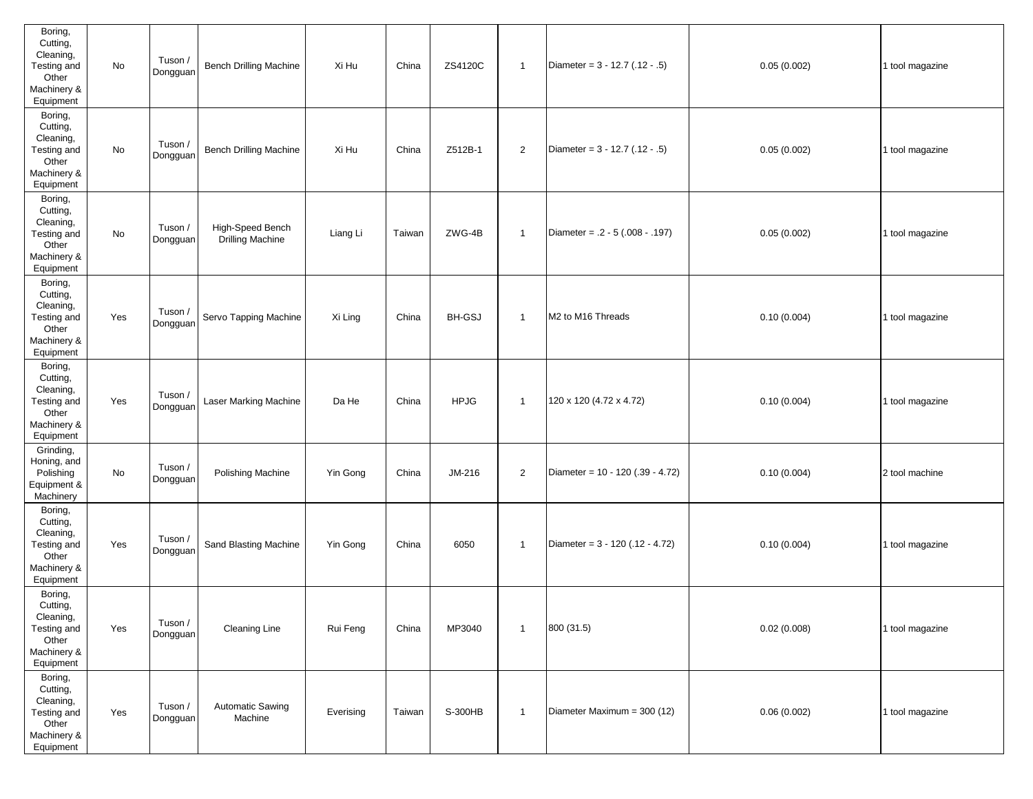| Boring,<br>Cutting,<br>Cleaning,<br>Testing and<br>Other<br>Machinery &<br>Equipment | No  | Tuson /<br>Dongguan | <b>Bench Drilling Machine</b>               | Xi Hu     | China  | ZS4120C       | $\mathbf{1}$   | Diameter = $3 - 12.7(.12 - .5)$   | 0.05(0.002) | 1 tool magazine |
|--------------------------------------------------------------------------------------|-----|---------------------|---------------------------------------------|-----------|--------|---------------|----------------|-----------------------------------|-------------|-----------------|
| Boring,<br>Cutting,<br>Cleaning,<br>Testing and<br>Other<br>Machinery &<br>Equipment | No  | Tuson /<br>Dongguan | <b>Bench Drilling Machine</b>               | Xi Hu     | China  | Z512B-1       | $\overline{2}$ | Diameter = $3 - 12.7$ (.12 - .5)  | 0.05(0.002) | 1 tool magazine |
| Boring,<br>Cutting,<br>Cleaning,<br>Testing and<br>Other<br>Machinery &<br>Equipment | No  | Tuson /<br>Dongguan | High-Speed Bench<br><b>Drilling Machine</b> | Liang Li  | Taiwan | ZWG-4B        | $\mathbf{1}$   | Diameter = $.2 - 5(.008 - .197)$  | 0.05(0.002) | 1 tool magazine |
| Boring,<br>Cutting,<br>Cleaning,<br>Testing and<br>Other<br>Machinery &<br>Equipment | Yes | Tuson /<br>Dongguan | Servo Tapping Machine                       | Xi Ling   | China  | <b>BH-GSJ</b> | $\mathbf{1}$   | M2 to M16 Threads                 | 0.10(0.004) | 1 tool magazine |
| Boring,<br>Cutting,<br>Cleaning,<br>Testing and<br>Other<br>Machinery &<br>Equipment | Yes | Tuson /<br>Dongguan | Laser Marking Machine                       | Da He     | China  | <b>HPJG</b>   | $\mathbf{1}$   | 120 x 120 (4.72 x 4.72)           | 0.10(0.004) | 1 tool magazine |
| Grinding,<br>Honing, and<br>Polishing<br>Equipment &<br>Machinery                    | No  | Tuson /<br>Dongguan | Polishing Machine                           | Yin Gong  | China  | JM-216        | $\overline{2}$ | Diameter = 10 - 120 (.39 - 4.72)  | 0.10(0.004) | 2 tool machine  |
| Boring,<br>Cutting,<br>Cleaning,<br>Testing and<br>Other<br>Machinery &<br>Equipment | Yes | Tuson /<br>Dongguan | Sand Blasting Machine                       | Yin Gong  | China  | 6050          | $\overline{1}$ | Diameter = $3 - 120$ (.12 - 4.72) | 0.10(0.004) | 1 tool magazine |
| Boring,<br>Cutting,<br>Cleaning,<br>Testing and<br>Other<br>Machinery &<br>Equipment | Yes | Tuson /<br>Dongguan | <b>Cleaning Line</b>                        | Rui Feng  | China  | MP3040        | $\mathbf{1}$   | 800 (31.5)                        | 0.02(0.008) | 1 tool magazine |
| Boring,<br>Cutting,<br>Cleaning,<br>Testing and<br>Other<br>Machinery &<br>Equipment | Yes | Tuson /<br>Dongguan | Automatic Sawing<br>Machine                 | Everising | Taiwan | S-300HB       | $\overline{1}$ | Diameter Maximum = 300 (12)       | 0.06(0.002) | 1 tool magazine |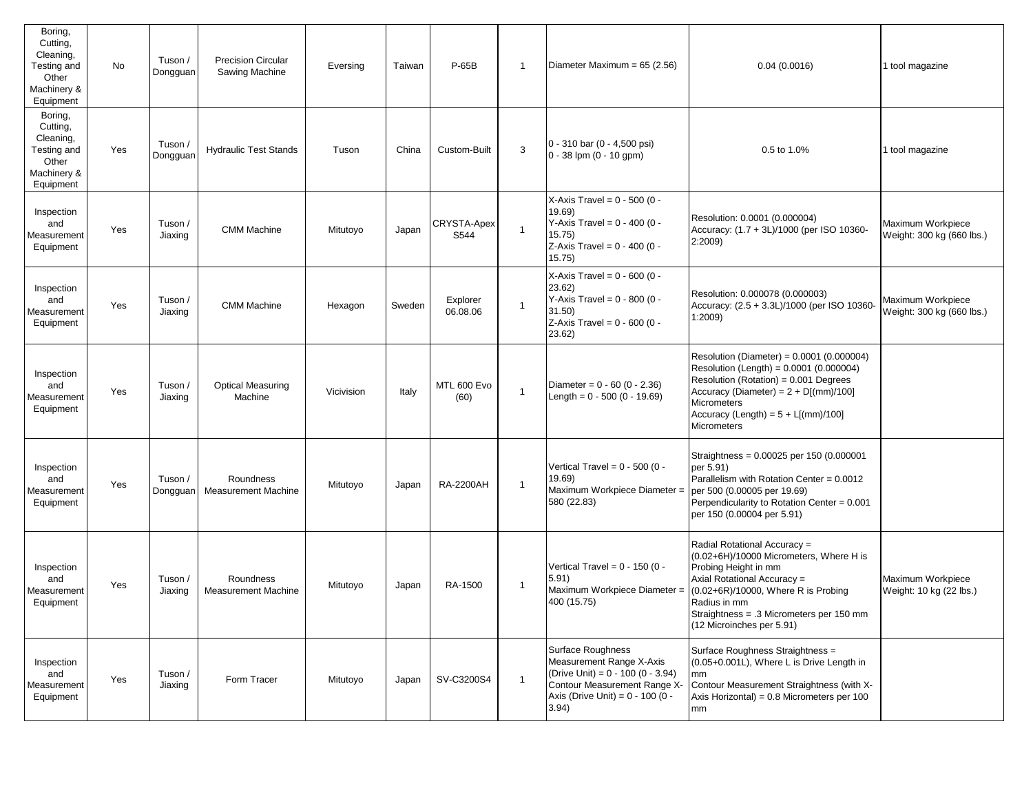| Boring,<br>Cutting,<br>Cleaning,<br>Testing and<br>Other<br>Machinery &<br>Equipment | No  | Tuson /<br>Dongguan | <b>Precision Circular</b><br>Sawing Machine | Eversing   | Taiwan | P-65B                | $\mathbf{1}$ | Diameter Maximum = 65 (2.56)                                                                                                                                       | 0.04(0.0016)                                                                                                                                                                                                                                                   | 1 tool magazine                                |
|--------------------------------------------------------------------------------------|-----|---------------------|---------------------------------------------|------------|--------|----------------------|--------------|--------------------------------------------------------------------------------------------------------------------------------------------------------------------|----------------------------------------------------------------------------------------------------------------------------------------------------------------------------------------------------------------------------------------------------------------|------------------------------------------------|
| Boring,<br>Cutting,<br>Cleaning,<br>Testing and<br>Other<br>Machinery &<br>Equipment | Yes | Tuson /<br>Dongguan | <b>Hydraulic Test Stands</b>                | Tuson      | China  | Custom-Built         | 3            | $0 - 310$ bar $(0 - 4,500$ psi)<br>$0 - 38$ lpm $(0 - 10$ gpm)                                                                                                     | 0.5 to 1.0%                                                                                                                                                                                                                                                    | 1 tool magazine                                |
| Inspection<br>and<br>Measurement<br>Equipment                                        | Yes | Tuson /<br>Jiaxing  | <b>CMM Machine</b>                          | Mitutoyo   | Japan  | CRYSTA-Apex<br>S544  | $\mathbf{1}$ | X-Axis Travel = $0 - 500$ (0 -<br>19.69)<br>Y-Axis Travel = $0 - 400$ (0 -<br>15.75)<br>Z-Axis Travel = $0 - 400$ (0 -<br>15.75)                                   | Resolution: 0.0001 (0.000004)<br>Accuracy: (1.7 + 3L)/1000 (per ISO 10360-<br>2:2009                                                                                                                                                                           | Maximum Workpiece<br>Weight: 300 kg (660 lbs.) |
| Inspection<br>and<br>Measurement<br>Equipment                                        | Yes | Tuson /<br>Jiaxing  | <b>CMM Machine</b>                          | Hexagon    | Sweden | Explorer<br>06.08.06 | 1            | X-Axis Travel = $0 - 600$ (0 -<br>23.62)<br>Y-Axis Travel = $0 - 800$ (0 -<br>31.50<br>Z-Axis Travel = $0 - 600$ (0 -<br>23.62)                                    | Resolution: 0.000078 (0.000003)<br>Accuracy: (2.5 + 3.3L)/1000 (per ISO 10360-<br>1:2009                                                                                                                                                                       | Maximum Workpiece<br>Weight: 300 kg (660 lbs.) |
| Inspection<br>and<br>Measurement<br>Equipment                                        | Yes | Tuson /<br>Jiaxing  | <b>Optical Measuring</b><br>Machine         | Vicivision | Italy  | MTL 600 Evo<br>(60)  | $\mathbf{1}$ | Diameter = $0 - 60 (0 - 2.36)$<br>Length = $0 - 500 (0 - 19.69)$                                                                                                   | Resolution (Diameter) = 0.0001 (0.000004)<br>Resolution (Length) = 0.0001 (0.000004)<br>Resolution (Rotation) = 0.001 Degrees<br>Accuracy (Diameter) = $2 + D[(mm)/100]$<br>Micrometers<br>Accuracy (Length) = $5 + L[(mm)/100]$<br><b>Micrometers</b>         |                                                |
| Inspection<br>and<br>Measurement<br>Equipment                                        | Yes | Tuson /<br>Dongguan | Roundness<br><b>Measurement Machine</b>     | Mitutoyo   | Japan  | <b>RA-2200AH</b>     | $\mathbf{1}$ | Vertical Travel = $0 - 500$ (0 -<br>19.69)<br>Maximum Workpiece Diameter =<br>580 (22.83)                                                                          | Straightness = 0.00025 per 150 (0.000001<br>per 5.91)<br>Parallelism with Rotation Center = $0.0012$<br>per 500 (0.00005 per 19.69)<br>Perpendicularity to Rotation Center = 0.001<br>per 150 (0.00004 per 5.91)                                               |                                                |
| Inspection<br>and<br>Measurement<br>Equipment                                        | Yes | Tuson /<br>Jiaxing  | Roundness<br><b>Measurement Machine</b>     | Mitutoyo   | Japan  | RA-1500              | -1           | Vertical Travel = $0 - 150$ (0 -<br>5.91)<br>Maximum Workpiece Diameter =<br>400 (15.75)                                                                           | Radial Rotational Accuracy =<br>(0.02+6H)/10000 Micrometers, Where H is<br>Probing Height in mm<br>Axial Rotational Accuracy =<br>(0.02+6R)/10000, Where R is Probing<br>Radius in mm<br>Straightness = .3 Micrometers per 150 mm<br>(12 Microinches per 5.91) | Maximum Workpiece<br>Weight: 10 kg (22 lbs.)   |
| Inspection<br>and<br>Measurement<br>Equipment                                        | Yes | Tuson /<br>Jiaxing  | Form Tracer                                 | Mitutoyo   | Japan  | SV-C3200S4           | $\mathbf{1}$ | Surface Roughness<br>Measurement Range X-Axis<br>(Drive Unit) = $0 - 100 (0 - 3.94)$<br>Contour Measurement Range X-<br>Axis (Drive Unit) = $0 - 100(0 -$<br>3.94) | Surface Roughness Straightness =<br>(0.05+0.001L), Where L is Drive Length in<br>mm<br>Contour Measurement Straightness (with X-<br>Axis Horizontal) = 0.8 Micrometers per 100<br>mm                                                                           |                                                |